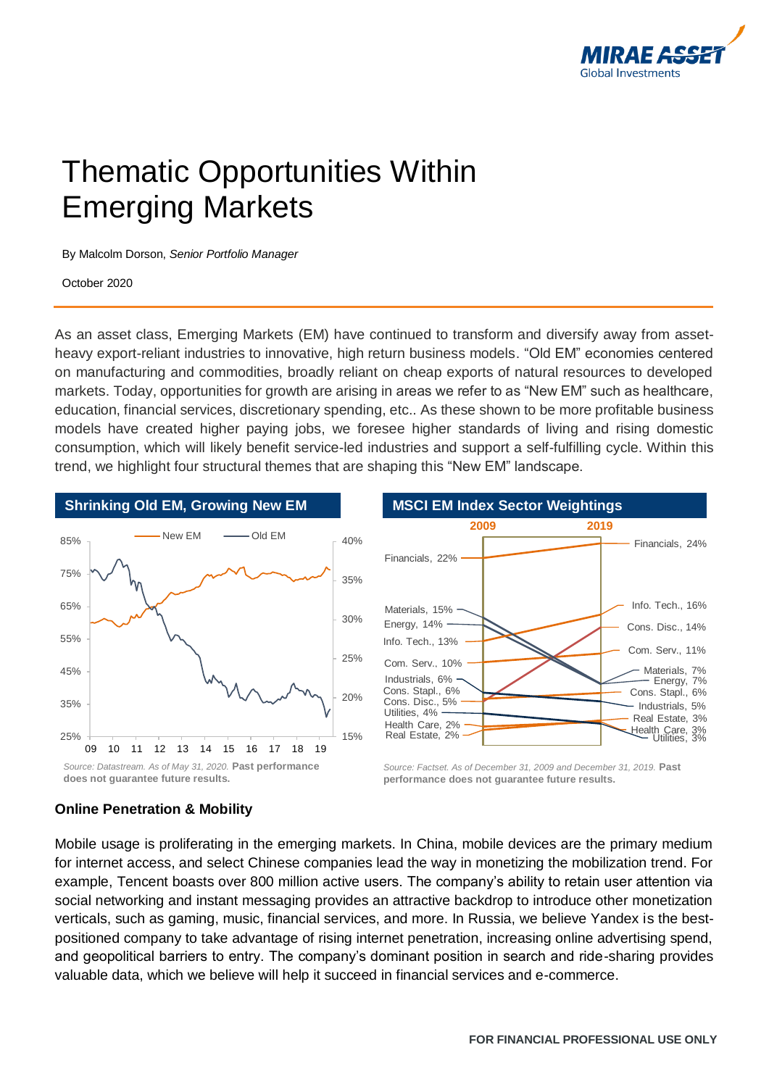

# Thematic Opportunities Within Emerging Markets

By Malcolm Dorson, *Senior Portfolio Manager*

October 2020

As an asset class, Emerging Markets (EM) have continued to transform and diversify away from assetheavy export-reliant industries to innovative, high return business models. "Old EM" economies centered on manufacturing and commodities, broadly reliant on cheap exports of natural resources to developed markets. Today, opportunities for growth are arising in areas we refer to as "New EM" such as healthcare, education, financial services, discretionary spending, etc.. As these shown to be more profitable business models have created higher paying jobs, we foresee higher standards of living and rising domestic consumption, which will likely benefit service-led industries and support a self-fulfilling cycle. Within this trend, we highlight four structural themes that are shaping this "New EM" landscape.



#### **Online Penetration & Mobility**

Mobile usage is proliferating in the emerging markets. In China, mobile devices are the primary medium for internet access, and select Chinese companies lead the way in monetizing the mobilization trend. For example, Tencent boasts over 800 million active users. The company's ability to retain user attention via social networking and instant messaging provides an attractive backdrop to introduce other monetization verticals, such as gaming, music, financial services, and more. In Russia, we believe Yandex is the bestpositioned company to take advantage of rising internet penetration, increasing online advertising spend, and geopolitical barriers to entry. The company's dominant position in search and ride-sharing provides valuable data, which we believe will help it succeed in financial services and e-commerce.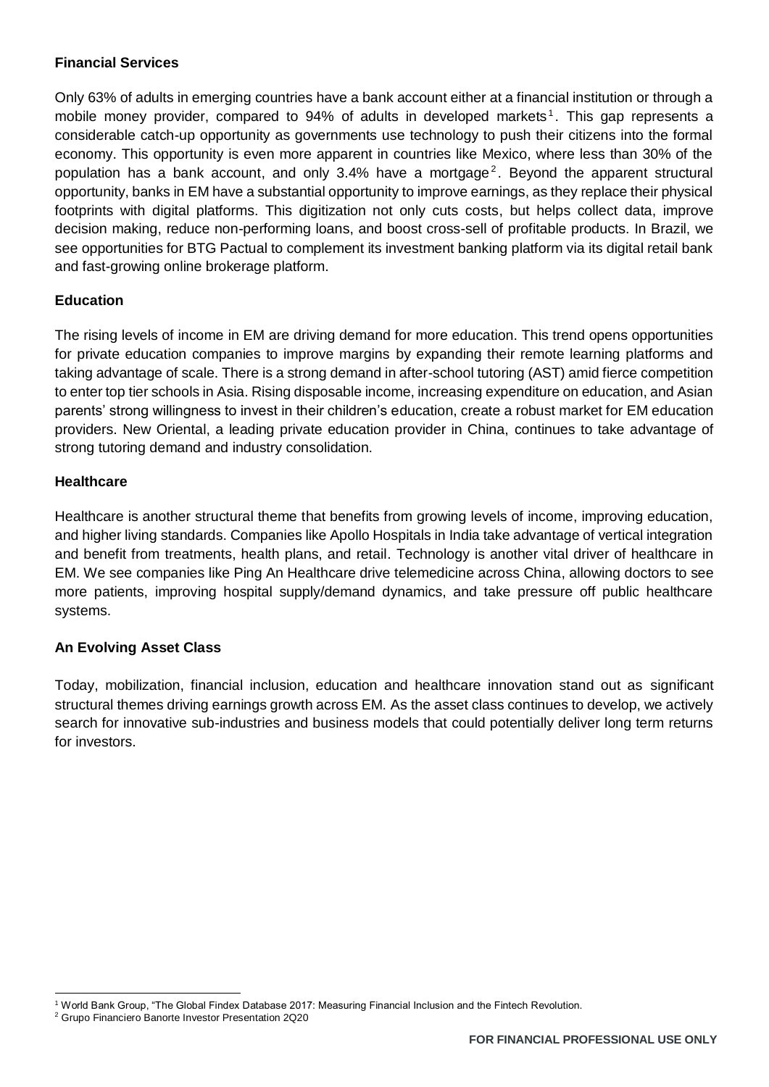#### **Financial Services**

Only 63% of adults in emerging countries have a bank account either at a financial institution or through a mobile money provider, compared to 94% of adults in developed markets<sup>1</sup>. This gap represents a considerable catch-up opportunity as governments use technology to push their citizens into the formal economy. This opportunity is even more apparent in countries like Mexico, where less than 30% of the population has a bank account, and only 3.4% have a mortgage<sup>2</sup>. Beyond the apparent structural opportunity, banks in EM have a substantial opportunity to improve earnings, as they replace their physical footprints with digital platforms. This digitization not only cuts costs, but helps collect data, improve decision making, reduce non-performing loans, and boost cross-sell of profitable products. In Brazil, we see opportunities for BTG Pactual to complement its investment banking platform via its digital retail bank and fast-growing online brokerage platform.

### **Education**

The rising levels of income in EM are driving demand for more education. This trend opens opportunities for private education companies to improve margins by expanding their remote learning platforms and taking advantage of scale. There is a strong demand in after-school tutoring (AST) amid fierce competition to enter top tier schools in Asia. Rising disposable income, increasing expenditure on education, and Asian parents' strong willingness to invest in their children's education, create a robust market for EM education providers. New Oriental, a leading private education provider in China, continues to take advantage of strong tutoring demand and industry consolidation.

#### **Healthcare**

Healthcare is another structural theme that benefits from growing levels of income, improving education, and higher living standards. Companies like Apollo Hospitals in India take advantage of vertical integration and benefit from treatments, health plans, and retail. Technology is another vital driver of healthcare in EM. We see companies like Ping An Healthcare drive telemedicine across China, allowing doctors to see more patients, improving hospital supply/demand dynamics, and take pressure off public healthcare systems.

## **An Evolving Asset Class**

Today, mobilization, financial inclusion, education and healthcare innovation stand out as significant structural themes driving earnings growth across EM. As the asset class continues to develop, we actively search for innovative sub-industries and business models that could potentially deliver long term returns for investors.

 $\overline{\phantom{a}}$ <sup>1</sup> World Bank Group, "The Global Findex Database 2017: Measuring Financial Inclusion and the Fintech Revolution.

<sup>2</sup> Grupo Financiero Banorte Investor Presentation 2Q20